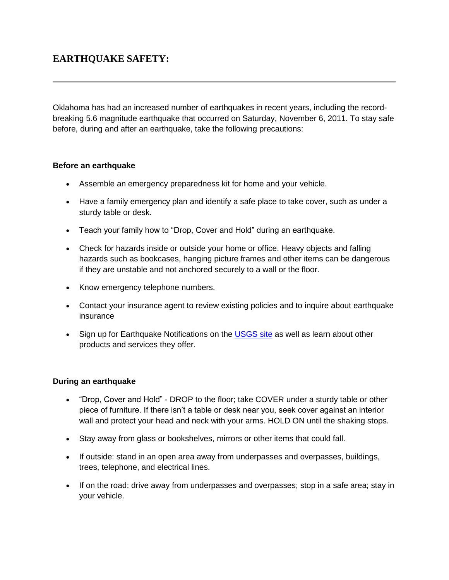## **EARTHQUAKE SAFETY:**

Oklahoma has had an increased number of earthquakes in recent years, including the recordbreaking 5.6 magnitude earthquake that occurred on Saturday, November 6, 2011. To stay safe before, during and after an earthquake, take the following precautions:

## **Before an earthquake**

- Assemble an emergency preparedness kit for home and your vehicle.
- Have a family emergency plan and identify a safe place to take cover, such as under a sturdy table or desk.
- Teach your family how to "Drop, Cover and Hold" during an earthquake.
- Check for hazards inside or outside your home or office. Heavy objects and falling hazards such as bookcases, hanging picture frames and other items can be dangerous if they are unstable and not anchored securely to a wall or the floor.
- Know emergency telephone numbers.
- Contact your insurance agent to review existing policies and to inquire about earthquake insurance
- Sign up for Earthquake Notifications on the [USGS site](http://earthquake.usgs.gov/earthquakes/) as well as learn about other products and services they offer.

## **During an earthquake**

- "Drop, Cover and Hold" DROP to the floor; take COVER under a sturdy table or other piece of furniture. If there isn't a table or desk near you, seek cover against an interior wall and protect your head and neck with your arms. HOLD ON until the shaking stops.
- Stay away from glass or bookshelves, mirrors or other items that could fall.
- If outside: stand in an open area away from underpasses and overpasses, buildings, trees, telephone, and electrical lines.
- If on the road: drive away from underpasses and overpasses; stop in a safe area; stay in your vehicle.